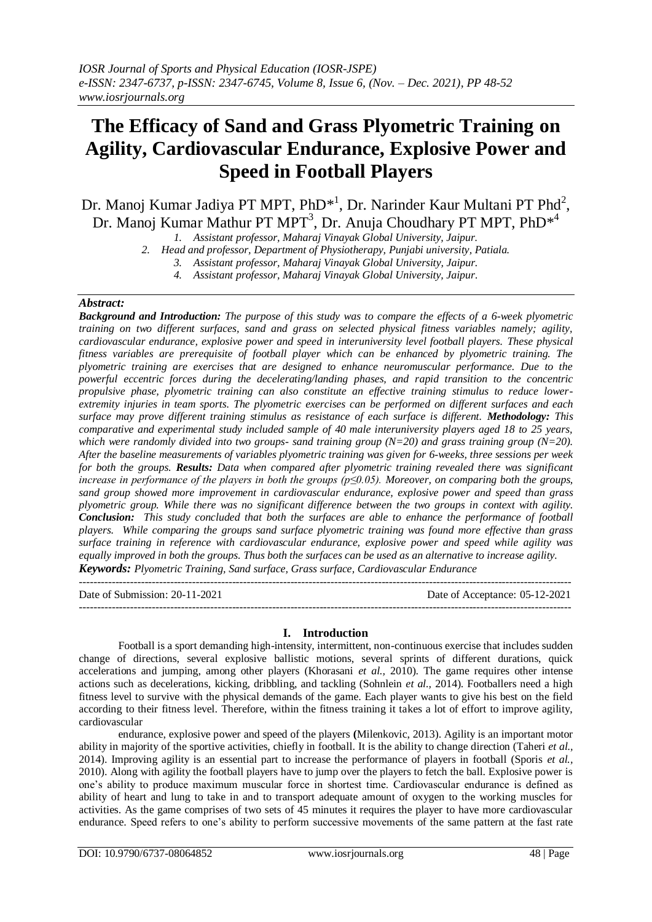# **The Efficacy of Sand and Grass Plyometric Training on Agility, Cardiovascular Endurance, Explosive Power and Speed in Football Players**

Dr. Manoj Kumar Jadiya PT MPT, PhD<sup>\*1</sup>, Dr. Narinder Kaur Multani PT Phd<sup>2</sup>, Dr. Manoj Kumar Mathur PT MPT<sup>3</sup>, Dr. Anuja Choudhary PT MPT, PhD<sup>\*4</sup>

*1. Assistant professor, Maharaj Vinayak Global University, Jaipur.*

*2. Head and professor, Department of Physiotherapy, Punjabi university, Patiala.*

*4. Assistant professor, Maharaj Vinayak Global University, Jaipur.*

## *Abstract:*

*Background and Introduction: The purpose of this study was to compare the effects of a 6-week plyometric training on two different surfaces, sand and grass on selected physical fitness variables namely; agility, cardiovascular endurance, explosive power and speed in interuniversity level football players. These physical fitness variables are prerequisite of football player which can be enhanced by plyometric training. The plyometric training are exercises that are designed to enhance neuromuscular performance. Due to the powerful eccentric forces during the decelerating/landing phases, and rapid transition to the concentric propulsive phase, plyometric training can also constitute an effective training stimulus to reduce lowerextremity injuries in team sports. The plyometric exercises can be performed on different surfaces and each surface may prove different training stimulus as resistance of each surface is different. Methodology: This comparative and experimental study included sample of 40 male interuniversity players aged 18 to 25 years, which were randomly divided into two groups- sand training group (N=20) and grass training group (N=20). After the baseline measurements of variables plyometric training was given for 6-weeks, three sessions per week for both the groups. Results: Data when compared after plyometric training revealed there was significant increase in performance of the players in both the groups (p≤0.05). Moreover, on comparing both the groups, sand group showed more improvement in cardiovascular endurance, explosive power and speed than grass plyometric group. While there was no significant difference between the two groups in context with agility. Conclusion: This study concluded that both the surfaces are able to enhance the performance of football players. While comparing the groups sand surface plyometric training was found more effective than grass surface training in reference with cardiovascular endurance, explosive power and speed while agility was equally improved in both the groups. Thus both the surfaces can be used as an alternative to increase agility. Keywords: Plyometric Training, Sand surface, Grass surface, Cardiovascular Endurance*

---------------------------------------------------------------------------------------------------------------------------------------

Date of Submission: 20-11-2021 Date of Acceptance: 05-12-2021 ---------------------------------------------------------------------------------------------------------------------------------------

## **I. Introduction**

Football is a sport demanding high-intensity, intermittent, non-continuous exercise that includes sudden change of directions, several explosive ballistic motions, several sprints of different durations, quick accelerations and jumping, among other players (Khorasani *et al.,* 2010). The game requires other intense actions such as decelerations, kicking, dribbling, and tackling (Sohnlein *et al.,* 2014). Footballers need a high fitness level to survive with the physical demands of the game. Each player wants to give his best on the field according to their fitness level. Therefore, within the fitness training it takes a lot of effort to improve agility, cardiovascular

endurance, explosive power and speed of the players **(**Milenkovic, 2013). Agility is an important motor ability in majority of the sportive activities, chiefly in football. It is the ability to change direction (Taheri *et al.,* 2014). Improving agility is an essential part to increase the performance of players in football (Sporis *et al.,* 2010). Along with agility the football players have to jump over the players to fetch the ball. Explosive power is one's ability to produce maximum muscular force in shortest time. Cardiovascular endurance is defined as ability of heart and lung to take in and to transport adequate amount of oxygen to the working muscles for activities. As the game comprises of two sets of 45 minutes it requires the player to have more cardiovascular endurance. Speed refers to one's ability to perform successive movements of the same pattern at the fast rate

*<sup>3.</sup> Assistant professor, Maharaj Vinayak Global University, Jaipur.*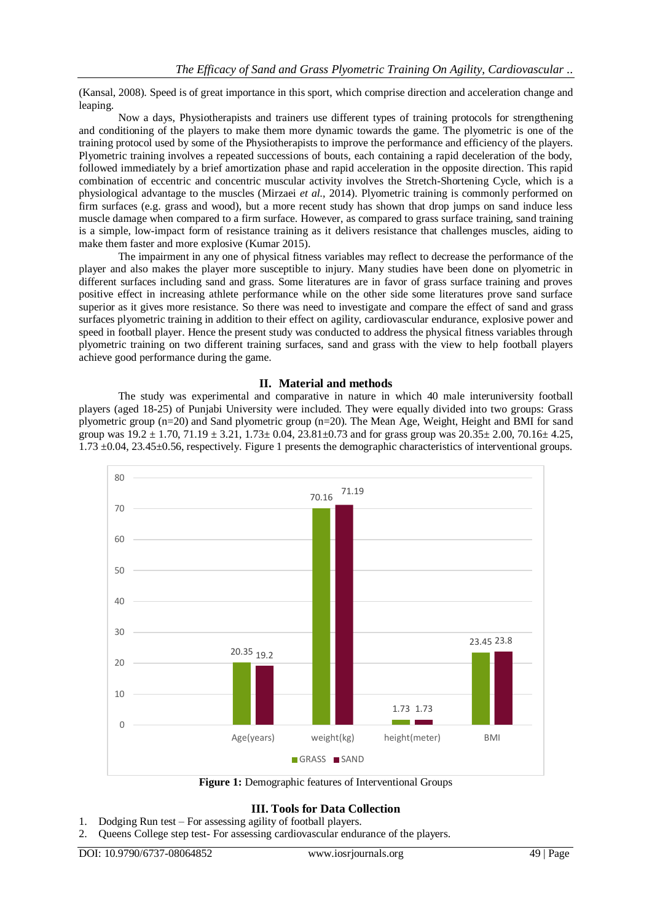(Kansal, 2008). Speed is of great importance in this sport, which comprise direction and acceleration change and leaping.

Now a days, Physiotherapists and trainers use different types of training protocols for strengthening and conditioning of the players to make them more dynamic towards the game. The plyometric is one of the training protocol used by some of the Physiotherapists to improve the performance and efficiency of the players. Plyometric training involves a repeated successions of bouts, each containing a rapid deceleration of the body, followed immediately by a brief amortization phase and rapid acceleration in the opposite direction. This rapid combination of eccentric and concentric muscular activity involves the Stretch-Shortening Cycle, which is a physiological advantage to the muscles (Mirzaei *et al.,* 2014). Plyometric training is commonly performed on firm surfaces (e.g. grass and wood), but a more recent study has shown that drop jumps on sand induce less muscle damage when compared to a firm surface. However, as compared to grass surface training, sand training is a simple, low-impact form of resistance training as it delivers resistance that challenges muscles, aiding to make them faster and more explosive (Kumar 2015).

The impairment in any one of physical fitness variables may reflect to decrease the performance of the player and also makes the player more susceptible to injury. Many studies have been done on plyometric in different surfaces including sand and grass. Some literatures are in favor of grass surface training and proves positive effect in increasing athlete performance while on the other side some literatures prove sand surface superior as it gives more resistance. So there was need to investigate and compare the effect of sand and grass surfaces plyometric training in addition to their effect on agility, cardiovascular endurance, explosive power and speed in football player. Hence the present study was conducted to address the physical fitness variables through plyometric training on two different training surfaces, sand and grass with the view to help football players achieve good performance during the game.

## **II. Material and methods**

The study was experimental and comparative in nature in which 40 male interuniversity football players (aged 18-25) of Punjabi University were included. They were equally divided into two groups: Grass plyometric group (n=20) and Sand plyometric group (n=20). The Mean Age, Weight, Height and BMI for sand group was  $19.2 \pm 1.70$ ,  $71.19 \pm 3.21$ ,  $1.73 \pm 0.04$ ,  $23.81 \pm 0.73$  and for grass group was  $20.35 \pm 2.00$ ,  $70.16 \pm 4.25$ , 1.73 ±0.04, 23.45±0.56, respectively. Figure 1 presents the demographic characteristics of interventional groups.



**Figure 1:** Demographic features of Interventional Groups

# **III. Tools for Data Collection**

- 1. Dodging Run test For assessing agility of football players.
- 2. Queens College step test- For assessing cardiovascular endurance of the players.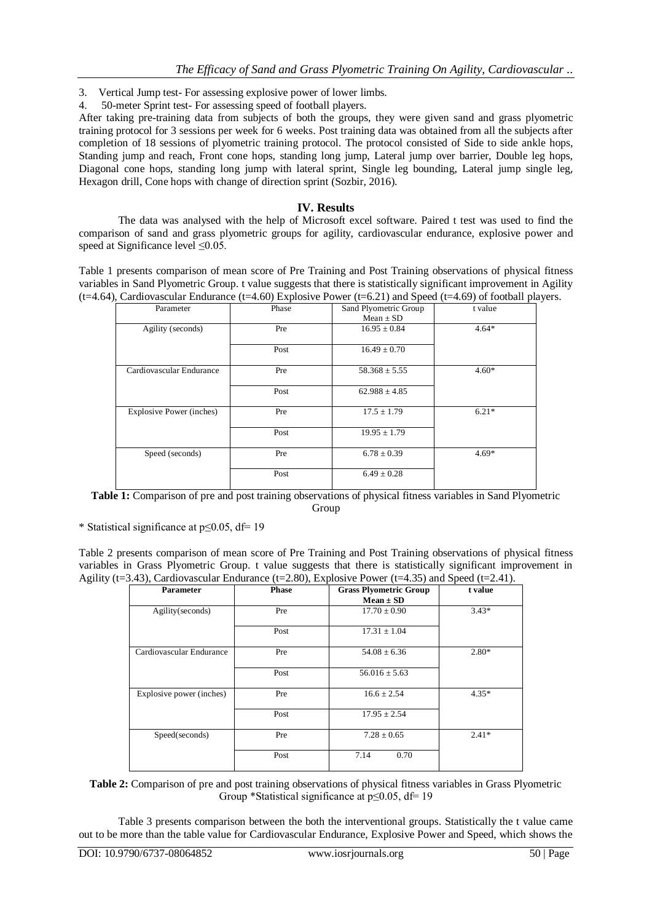- 3. Vertical Jump test- For assessing explosive power of lower limbs.
- 4. 50-meter Sprint test- For assessing speed of football players.

After taking pre-training data from subjects of both the groups, they were given sand and grass plyometric training protocol for 3 sessions per week for 6 weeks. Post training data was obtained from all the subjects after completion of 18 sessions of plyometric training protocol. The protocol consisted of Side to side ankle hops, Standing jump and reach, Front cone hops, standing long jump, Lateral jump over barrier, Double leg hops, Diagonal cone hops, standing long jump with lateral sprint, Single leg bounding, Lateral jump single leg, Hexagon drill, Cone hops with change of direction sprint (Sozbir, 2016).

# **IV. Results**

The data was analysed with the help of Microsoft excel software. Paired t test was used to find the comparison of sand and grass plyometric groups for agility, cardiovascular endurance, explosive power and speed at Significance level ≤0.05.

Table 1 presents comparison of mean score of Pre Training and Post Training observations of physical fitness variables in Sand Plyometric Group. t value suggests that there is statistically significant improvement in Agility  $(t=4.64)$ , Cardiovascular Endurance  $(t=4.60)$  Explosive Power  $(t=6.21)$  and Speed  $(t=4.69)$  of football players.

| Parameter                       | Phase<br>Sand Plyometric Group |                   | t value |  |
|---------------------------------|--------------------------------|-------------------|---------|--|
|                                 |                                | Mean $\pm$ SD     |         |  |
| Agility (seconds)               | Pre                            | $16.95 \pm 0.84$  | $4.64*$ |  |
|                                 | Post                           | $16.49 \pm 0.70$  |         |  |
| Cardiovascular Endurance        | Pre                            | $58.368 \pm 5.55$ | $4.60*$ |  |
|                                 | Post                           | $62.988 \pm 4.85$ |         |  |
| <b>Explosive Power (inches)</b> | Pre                            | $17.5 \pm 1.79$   | $6.21*$ |  |
|                                 | Post                           | $19.95 \pm 1.79$  |         |  |
| Speed (seconds)                 | Pre                            | $6.78 \pm 0.39$   | $4.69*$ |  |
|                                 | Post                           | $6.49 \pm 0.28$   |         |  |

**Table 1:** Comparison of pre and post training observations of physical fitness variables in Sand Plyometric Group

\* Statistical significance at p≤0.05, df= 19

Table 2 presents comparison of mean score of Pre Training and Post Training observations of physical fitness variables in Grass Plyometric Group. t value suggests that there is statistically significant improvement in Agility (t=3.43), Cardiovascular Endurance (t=2.80), Explosive Power (t=4.35) and Speed (t=2.41).

| <b>Parameter</b>         | <b>Phase</b> | <b>Grass Plyometric Group</b><br>$Mean \pm SD$ | t value |  |
|--------------------------|--------------|------------------------------------------------|---------|--|
| Agility(seconds)         | Pre          | $17.70 \pm 0.90$                               | $3.43*$ |  |
|                          | Post         | $17.31 \pm 1.04$                               |         |  |
| Cardiovascular Endurance | Pre          | $54.08 \pm 6.36$                               | $2.80*$ |  |
|                          | Post         | $56.016 \pm 5.63$                              |         |  |
| Explosive power (inches) | Pre          | $16.6 \pm 2.54$                                | $4.35*$ |  |
|                          | Post         | $17.95 \pm 2.54$                               |         |  |
| Speed(seconds)           | Pre          | $7.28 \pm 0.65$                                | $2.41*$ |  |
|                          | Post         | 7.14<br>0.70                                   |         |  |

**Table 2:** Comparison of pre and post training observations of physical fitness variables in Grass Plyometric Group \*Statistical significance at p≤0.05, df= 19

Table 3 presents comparison between the both the interventional groups. Statistically the t value came out to be more than the table value for Cardiovascular Endurance, Explosive Power and Speed, which shows the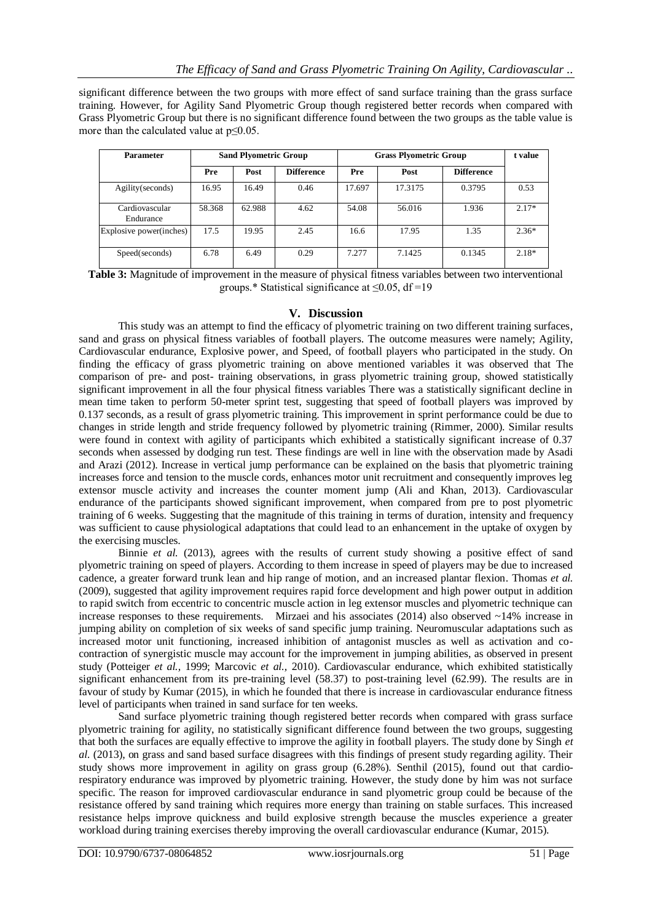significant difference between the two groups with more effect of sand surface training than the grass surface training. However, for Agility Sand Plyometric Group though registered better records when compared with Grass Plyometric Group but there is no significant difference found between the two groups as the table value is more than the calculated value at p≤0.05.

| <b>Parameter</b>            | <b>Sand Plyometric Group</b> |        | <b>Grass Plyometric Group</b> |        |         | t value           |         |
|-----------------------------|------------------------------|--------|-------------------------------|--------|---------|-------------------|---------|
|                             | Pre                          | Post   | <b>Difference</b>             | Pre    | Post    | <b>Difference</b> |         |
| Agility (seconds)           | 16.95                        | 16.49  | 0.46                          | 17.697 | 17.3175 | 0.3795            | 0.53    |
| Cardiovascular<br>Endurance | 58.368                       | 62.988 | 4.62                          | 54.08  | 56.016  | 1.936             | $2.17*$ |
| Explosive power(inches)     | 17.5                         | 19.95  | 2.45                          | 16.6   | 17.95   | 1.35              | $2.36*$ |
| Speed(seconds)              | 6.78                         | 6.49   | 0.29                          | 7.277  | 7.1425  | 0.1345            | $2.18*$ |

**Table 3:** Magnitude of improvement in the measure of physical fitness variables between two interventional groups.\* Statistical significance at  $\leq 0.05$ , df=19

# **V. Discussion**

This study was an attempt to find the efficacy of plyometric training on two different training surfaces, sand and grass on physical fitness variables of football players. The outcome measures were namely; Agility, Cardiovascular endurance, Explosive power, and Speed, of football players who participated in the study. On finding the efficacy of grass plyometric training on above mentioned variables it was observed that The comparison of pre- and post- training observations, in grass plyometric training group, showed statistically significant improvement in all the four physical fitness variables There was a statistically significant decline in mean time taken to perform 50-meter sprint test, suggesting that speed of football players was improved by 0.137 seconds, as a result of grass plyometric training. This improvement in sprint performance could be due to changes in stride length and stride frequency followed by plyometric training (Rimmer, 2000). Similar results were found in context with agility of participants which exhibited a statistically significant increase of 0.37 seconds when assessed by dodging run test. These findings are well in line with the observation made by Asadi and Arazi (2012). Increase in vertical jump performance can be explained on the basis that plyometric training increases force and tension to the muscle cords, enhances motor unit recruitment and consequently improves leg extensor muscle activity and increases the counter moment jump (Ali and Khan, 2013). Cardiovascular endurance of the participants showed significant improvement, when compared from pre to post plyometric training of 6 weeks. Suggesting that the magnitude of this training in terms of duration, intensity and frequency was sufficient to cause physiological adaptations that could lead to an enhancement in the uptake of oxygen by the exercising muscles.

Binnie *et al.* (2013), agrees with the results of current study showing a positive effect of sand plyometric training on speed of players. According to them increase in speed of players may be due to increased cadence, a greater forward trunk lean and hip range of motion, and an increased plantar flexion. Thomas *et al.* (2009), suggested that agility improvement requires rapid force development and high power output in addition to rapid switch from eccentric to concentric muscle action in leg extensor muscles and plyometric technique can increase responses to these requirements. Mirzaei and his associates (2014) also observed ~14% increase in jumping ability on completion of six weeks of sand specific jump training. Neuromuscular adaptations such as increased motor unit functioning, increased inhibition of antagonist muscles as well as activation and cocontraction of synergistic muscle may account for the improvement in jumping abilities, as observed in present study (Potteiger *et al.,* 1999; Marcovic *et al.,* 2010). Cardiovascular endurance, which exhibited statistically significant enhancement from its pre-training level (58.37) to post-training level (62.99). The results are in favour of study by Kumar (2015), in which he founded that there is increase in cardiovascular endurance fitness level of participants when trained in sand surface for ten weeks.

Sand surface plyometric training though registered better records when compared with grass surface plyometric training for agility, no statistically significant difference found between the two groups, suggesting that both the surfaces are equally effective to improve the agility in football players. The study done by Singh *et al.* (2013), on grass and sand based surface disagrees with this findings of present study regarding agility. Their study shows more improvement in agility on grass group (6.28%). Senthil (2015), found out that cardiorespiratory endurance was improved by plyometric training. However, the study done by him was not surface specific. The reason for improved cardiovascular endurance in sand plyometric group could be because of the resistance offered by sand training which requires more energy than training on stable surfaces. This increased resistance helps improve quickness and build explosive strength because the muscles experience a greater workload during training exercises thereby improving the overall cardiovascular endurance (Kumar, 2015).